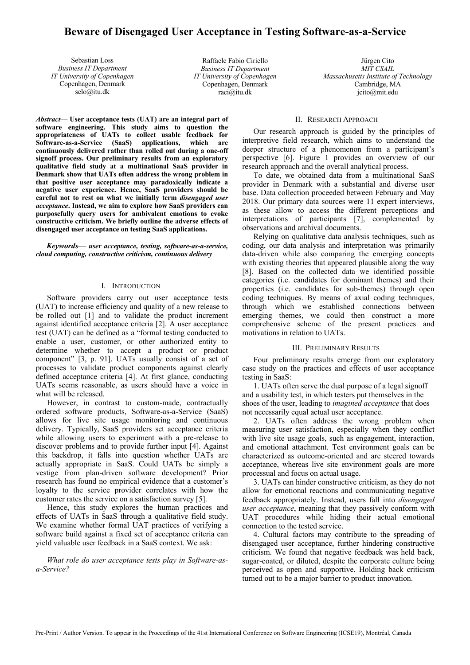# **Beware of Disengaged User Acceptance in Testing Software-as-a-Service**

Sebastian Loss *Business IT Department IT University of Copenhagen* Copenhagen, Denmark selo@itu.dk

Raffaele Fabio Ciriello *Business IT Department IT University of Copenhagen* Copenhagen, Denmark raci@itu.dk

Jürgen Cito *MIT CSAIL Massachusetts Institute of Technology* Cambridge, MA jcito@mit.edu

*Abstract***— User acceptance tests (UAT) are an integral part of software engineering. This study aims to question the appropriateness of UATs to collect usable feedback for Software-as-a-Service (SaaS) applications, which are continuously delivered rather than rolled out during a one-off signoff process. Our preliminary results from an exploratory qualitative field study at a multinational SaaS provider in Denmark show that UATs often address the wrong problem in that positive user acceptance may paradoxically indicate a negative user experience. Hence, SaaS providers should be careful not to rest on what we initially term** *disengaged user acceptance***. Instead, we aim to explore how SaaS providers can purposefully query users for ambivalent emotions to evoke constructive criticism. We briefly outline the adverse effects of disengaged user acceptance on testing SaaS applications.**

*Keywords*— *user acceptance, testing, software-as-a-service, cloud computing, constructive criticism, continuous delivery*

## I. INTRODUCTION

Software providers carry out user acceptance tests (UAT) to increase efficiency and quality of a new release to be rolled out [1] and to validate the product increment against identified acceptance criteria [2]. A user acceptance test (UAT) can be defined as a "formal testing conducted to enable a user, customer, or other authorized entity to determine whether to accept a product or product component" [3, p. 91]. UATs usually consist of a set of processes to validate product components against clearly defined acceptance criteria [4]. At first glance, conducting UATs seems reasonable, as users should have a voice in what will be released.

However, in contrast to custom-made, contractually ordered software products, Software-as-a-Service (SaaS) allows for live site usage monitoring and continuous delivery. Typically, SaaS providers set acceptance criteria while allowing users to experiment with a pre-release to discover problems and to provide further input [4]. Against this backdrop, it falls into question whether UATs are actually appropriate in SaaS. Could UATs be simply a vestige from plan-driven software development? Prior research has found no empirical evidence that a customer's loyalty to the service provider correlates with how the customer rates the service on a satisfaction survey [5].

Hence, this study explores the human practices and effects of UATs in SaaS through a qualitative field study. We examine whether formal UAT practices of verifying a software build against a fixed set of acceptance criteria can yield valuable user feedback in a SaaS context. We ask:

*What role do user acceptance tests play in Software-asa-Service?*

## II. RESEARCH APPROACH

Our research approach is guided by the principles of interpretive field research, which aims to understand the deeper structure of a phenomenon from a participant's perspective [6]. Figure 1 provides an overview of our research approach and the overall analytical process.

To date, we obtained data from a multinational SaaS provider in Denmark with a substantial and diverse user base. Data collection proceeded between February and May 2018. Our primary data sources were 11 expert interviews, as these allow to access the different perceptions and interpretations of participants [7], complemented by observations and archival documents.

Relying on qualitative data analysis techniques, such as coding, our data analysis and interpretation was primarily data-driven while also comparing the emerging concepts with existing theories that appeared plausible along the way [8]. Based on the collected data we identified possible categories (i.e. candidates for dominant themes) and their properties (i.e. candidates for sub-themes) through open coding techniques. By means of axial coding techniques, through which we established connections between emerging themes, we could then construct a more comprehensive scheme of the present practices and motivations in relation to UATs.

#### III. PRELIMINARY RESULTS

Four preliminary results emerge from our exploratory case study on the practices and effects of user acceptance testing in SaaS:

1. UATs often serve the dual purpose of a legal signoff and a usability test, in which testers put themselves in the shoes of the user, leading to *imagined acceptance* that does not necessarily equal actual user acceptance.

2. UATs often address the wrong problem when measuring user satisfaction, especially when they conflict with live site usage goals, such as engagement, interaction, and emotional attachment. Test environment goals can be characterized as outcome-oriented and are steered towards acceptance, whereas live site environment goals are more processual and focus on actual usage.

3. UATs can hinder constructive criticism, as they do not allow for emotional reactions and communicating negative feedback appropriately. Instead, users fall into *disengaged user acceptance*, meaning that they passively conform with UAT procedures while hiding their actual emotional connection to the tested service.

4. Cultural factors may contribute to the spreading of disengaged user acceptance, further hindering constructive criticism. We found that negative feedback was held back, sugar-coated, or diluted, despite the corporate culture being perceived as open and supportive. Holding back criticism turned out to be a major barrier to product innovation.